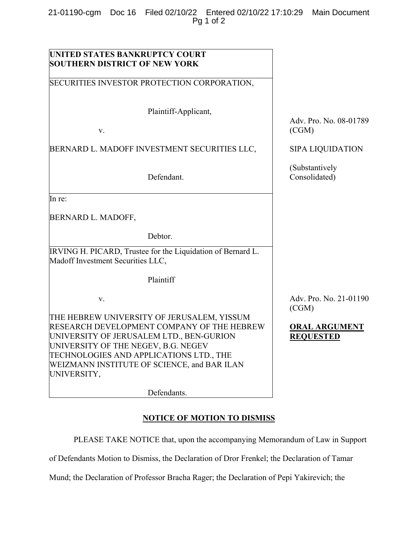21-01190-cgm Doc 16 Filed 02/10/22 Entered 02/10/22 17:10:29 Main Document Pg 1 of 2

| UNITED STATES BANKRUPTCY COURT                                                                                                                                                                                                                                                       |                                          |
|--------------------------------------------------------------------------------------------------------------------------------------------------------------------------------------------------------------------------------------------------------------------------------------|------------------------------------------|
| <b>SOUTHERN DISTRICT OF NEW YORK</b>                                                                                                                                                                                                                                                 |                                          |
| SECURITIES INVESTOR PROTECTION CORPORATION,                                                                                                                                                                                                                                          |                                          |
| Plaintiff-Applicant,                                                                                                                                                                                                                                                                 |                                          |
| V.                                                                                                                                                                                                                                                                                   | Adv. Pro. No. 08-01789<br>(CGM)          |
| BERNARD L. MADOFF INVESTMENT SECURITIES LLC,                                                                                                                                                                                                                                         | <b>SIPA LIQUIDATION</b>                  |
| Defendant.                                                                                                                                                                                                                                                                           | (Substantively<br>Consolidated)          |
| In re:                                                                                                                                                                                                                                                                               |                                          |
| BERNARD L. MADOFF,                                                                                                                                                                                                                                                                   |                                          |
| Debtor.                                                                                                                                                                                                                                                                              |                                          |
| IRVING H. PICARD, Trustee for the Liquidation of Bernard L.<br>Madoff Investment Securities LLC,                                                                                                                                                                                     |                                          |
| Plaintiff                                                                                                                                                                                                                                                                            |                                          |
| V.                                                                                                                                                                                                                                                                                   | Adv. Pro. No. 21-01190<br>(CGM)          |
| THE HEBREW UNIVERSITY OF JERUSALEM, YISSUM<br>RESEARCH DEVELOPMENT COMPANY OF THE HEBREW<br>UNIVERSITY OF JERUSALEM LTD., BEN-GURION<br>UNIVERSITY OF THE NEGEV, B.G. NEGEV<br>TECHNOLOGIES AND APPLICATIONS LTD., THE<br>WEIZMANN INSTITUTE OF SCIENCE, and BAR ILAN<br>UNIVERSITY, | <b>ORAL ARGUMENT</b><br><b>REQUESTED</b> |
| Defendants.                                                                                                                                                                                                                                                                          |                                          |

## **NOTICE OF MOTION TO DISMISS**

PLEASE TAKE NOTICE that, upon the accompanying Memorandum of Law in Support

of Defendants Motion to Dismiss, the Declaration of Dror Frenkel; the Declaration of Tamar

Mund; the Declaration of Professor Bracha Rager; the Declaration of Pepi Yakirevich; the